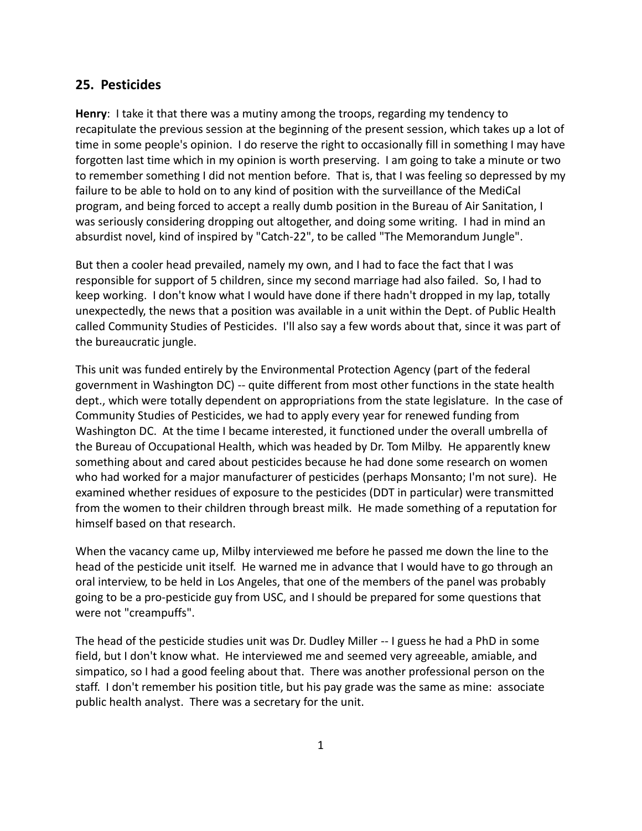## **25. Pesticides**

**Henry**: I take it that there was a mutiny among the troops, regarding my tendency to recapitulate the previous session at the beginning of the present session, which takes up a lot of time in some people's opinion. I do reserve the right to occasionally fill in something I may have forgotten last time which in my opinion is worth preserving. I am going to take a minute or two to remember something I did not mention before. That is, that I was feeling so depressed by my failure to be able to hold on to any kind of position with the surveillance of the MediCal program, and being forced to accept a really dumb position in the Bureau of Air Sanitation, I was seriously considering dropping out altogether, and doing some writing. I had in mind an absurdist novel, kind of inspired by "Catch-22", to be called "The Memorandum Jungle".

But then a cooler head prevailed, namely my own, and I had to face the fact that I was responsible for support of 5 children, since my second marriage had also failed. So, I had to keep working. I don't know what I would have done if there hadn't dropped in my lap, totally unexpectedly, the news that a position was available in a unit within the Dept. of Public Health called Community Studies of Pesticides. I'll also say a few words about that, since it was part of the bureaucratic jungle.

This unit was funded entirely by the Environmental Protection Agency (part of the federal government in Washington DC) -- quite different from most other functions in the state health dept., which were totally dependent on appropriations from the state legislature. In the case of Community Studies of Pesticides, we had to apply every year for renewed funding from Washington DC. At the time I became interested, it functioned under the overall umbrella of the Bureau of Occupational Health, which was headed by Dr. Tom Milby. He apparently knew something about and cared about pesticides because he had done some research on women who had worked for a major manufacturer of pesticides (perhaps Monsanto; I'm not sure). He examined whether residues of exposure to the pesticides (DDT in particular) were transmitted from the women to their children through breast milk. He made something of a reputation for himself based on that research.

When the vacancy came up, Milby interviewed me before he passed me down the line to the head of the pesticide unit itself. He warned me in advance that I would have to go through an oral interview, to be held in Los Angeles, that one of the members of the panel was probably going to be a pro-pesticide guy from USC, and I should be prepared for some questions that were not "creampuffs".

The head of the pesticide studies unit was Dr. Dudley Miller -- I guess he had a PhD in some field, but I don't know what. He interviewed me and seemed very agreeable, amiable, and simpatico, so I had a good feeling about that. There was another professional person on the staff. I don't remember his position title, but his pay grade was the same as mine: associate public health analyst. There was a secretary for the unit.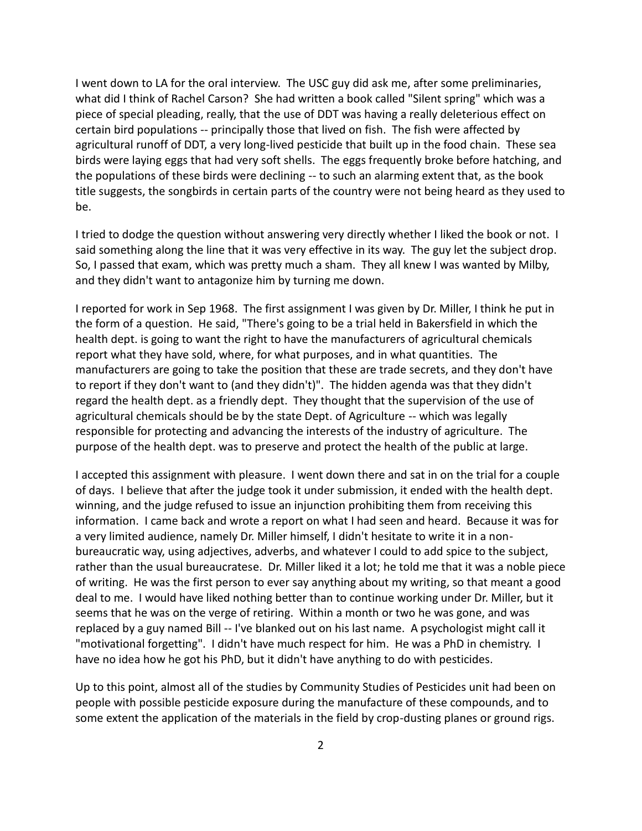I went down to LA for the oral interview. The USC guy did ask me, after some preliminaries, what did I think of Rachel Carson? She had written a book called "Silent spring" which was a piece of special pleading, really, that the use of DDT was having a really deleterious effect on certain bird populations -- principally those that lived on fish. The fish were affected by agricultural runoff of DDT, a very long-lived pesticide that built up in the food chain. These sea birds were laying eggs that had very soft shells. The eggs frequently broke before hatching, and the populations of these birds were declining -- to such an alarming extent that, as the book title suggests, the songbirds in certain parts of the country were not being heard as they used to be.

I tried to dodge the question without answering very directly whether I liked the book or not. I said something along the line that it was very effective in its way. The guy let the subject drop. So, I passed that exam, which was pretty much a sham. They all knew I was wanted by Milby, and they didn't want to antagonize him by turning me down.

I reported for work in Sep 1968. The first assignment I was given by Dr. Miller, I think he put in the form of a question. He said, "There's going to be a trial held in Bakersfield in which the health dept. is going to want the right to have the manufacturers of agricultural chemicals report what they have sold, where, for what purposes, and in what quantities. The manufacturers are going to take the position that these are trade secrets, and they don't have to report if they don't want to (and they didn't)". The hidden agenda was that they didn't regard the health dept. as a friendly dept. They thought that the supervision of the use of agricultural chemicals should be by the state Dept. of Agriculture -- which was legally responsible for protecting and advancing the interests of the industry of agriculture. The purpose of the health dept. was to preserve and protect the health of the public at large.

I accepted this assignment with pleasure. I went down there and sat in on the trial for a couple of days. I believe that after the judge took it under submission, it ended with the health dept. winning, and the judge refused to issue an injunction prohibiting them from receiving this information. I came back and wrote a report on what I had seen and heard. Because it was for a very limited audience, namely Dr. Miller himself, I didn't hesitate to write it in a non bureaucratic way, using adjectives, adverbs, and whatever I could to add spice to the subject, rather than the usual bureaucratese. Dr. Miller liked it a lot; he told me that it was a noble piece of writing. He was the first person to ever say anything about my writing, so that meant a good deal to me. I would have liked nothing better than to continue working under Dr. Miller, but it seems that he was on the verge of retiring. Within a month or two he was gone, and was replaced by a guy named Bill -- I've blanked out on his last name. A psychologist might call it "motivational forgetting". I didn't have much respect for him. He was a PhD in chemistry. I have no idea how he got his PhD, but it didn't have anything to do with pesticides.

Up to this point, almost all of the studies by Community Studies of Pesticides unit had been on people with possible pesticide exposure during the manufacture of these compounds, and to some extent the application of the materials in the field by crop-dusting planes or ground rigs.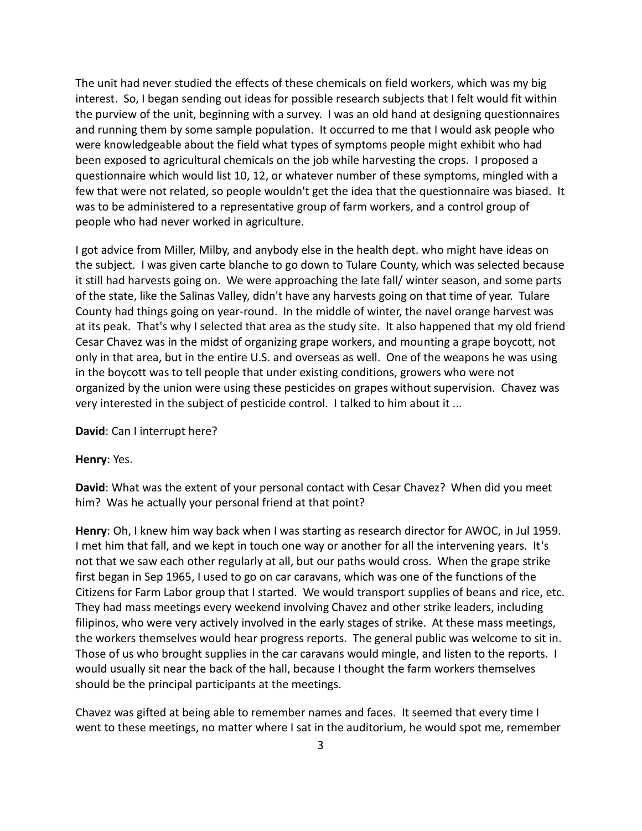The unit had never studied the effects of these chemicals on field workers, which was my big interest. So, I began sending out ideas for possible research subjects that I felt would fit within the purview of the unit, beginning with a survey. I was an old hand at designing questionnaires and running them by some sample population. It occurred to me that I would ask people who were knowledgeable about the field what types of symptoms people might exhibit who had been exposed to agricultural chemicals on the job while harvesting the crops. I proposed a questionnaire which would list 10, 12, or whatever number of these symptoms, mingled with a few that were not related, so people wouldn't get the idea that the questionnaire was biased. It was to be administered to a representative group of farm workers, and a control group of people who had never worked in agriculture.

I got advice from Miller, Milby, and anybody else in the health dept. who might have ideas on the subject. I was given carte blanche to go down to Tulare County, which was selected because it still had harvests going on. We were approaching the late fall/ winter season, and some parts of the state, like the Salinas Valley, didn't have any harvests going on that time of year. Tulare County had things going on year-round. In the middle of winter, the navel orange harvest was at its peak. That's why I selected that area as the study site. It also happened that my old friend Cesar Chavez was in the midst of organizing grape workers, and mounting a grape boycott, not only in that area, but in the entire U.S. and overseas as well. One of the weapons he was using in the boycott was to tell people that under existing conditions, growers who were not organized by the union were using these pesticides on grapes without supervision. Chavez was very interested in the subject of pesticide control. I talked to him about it ...

**David**: Can I interrupt here?

**Henry**: Yes.

**David**: What was the extent of your personal contact with Cesar Chavez? When did you meet him? Was he actually your personal friend at that point?

**Henry**: Oh, I knew him way back when I was starting as research director for AWOC, in Jul 1959. I met him that fall, and we kept in touch one way or another for all the intervening years. It's not that we saw each other regularly at all, but our paths would cross. When the grape strike first began in Sep 1965, I used to go on car caravans, which was one of the functions of the Citizens for Farm Labor group that I started. We would transport supplies of beans and rice, etc. They had mass meetings every weekend involving Chavez and other strike leaders, including filipinos, who were very actively involved in the early stages of strike. At these mass meetings, the workers themselves would hear progress reports. The general public was welcome to sit in. Those of us who brought supplies in the car caravans would mingle, and listen to the reports. I would usually sit near the back of the hall, because I thought the farm workers themselves should be the principal participants at the meetings.

Chavez was gifted at being able to remember names and faces. It seemed that every time I went to these meetings, no matter where I sat in the auditorium, he would spot me, remember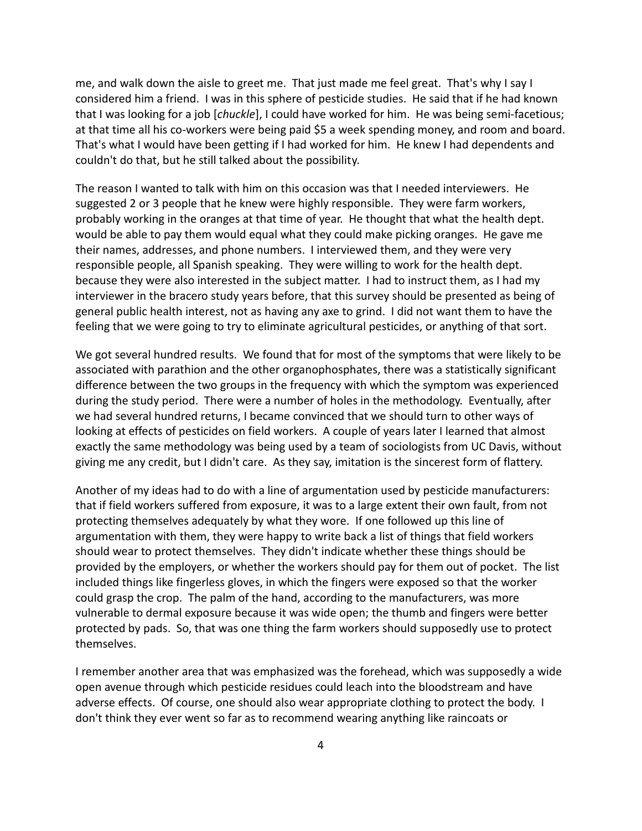me, and walk down the aisle to greet me. That just made me feel great. That's why I say I considered him a friend. I was in this sphere of pesticide studies. He said that if he had known that I was looking for a job [*chuckle*], I could have worked for him. He was being semi-facetious; at that time all his co-workers were being paid \$5 a week spending money, and room and board. That's what I would have been getting if I had worked for him. He knew I had dependents and couldn't do that, but he still talked about the possibility.

The reason I wanted to talk with him on this occasion was that I needed interviewers. He suggested 2 or 3 people that he knew were highly responsible. They were farm workers, probably working in the oranges at that time of year. He thought that what the health dept. would be able to pay them would equal what they could make picking oranges. He gave me their names, addresses, and phone numbers. I interviewed them, and they were very responsible people, all Spanish speaking. They were willing to work for the health dept. because they were also interested in the subject matter. I had to instruct them, as I had my interviewer in the bracero study years before, that this survey should be presented as being of general public health interest, not as having any axe to grind. I did not want them to have the feeling that we were going to try to eliminate agricultural pesticides, or anything of that sort.

We got several hundred results. We found that for most of the symptoms that were likely to be associated with parathion and the other organophosphates, there was a statistically significant difference between the two groups in the frequency with which the symptom was experienced during the study period. There were a number of holes in the methodology. Eventually, after we had several hundred returns, I became convinced that we should turn to other ways of looking at effects of pesticides on field workers. A couple of years later I learned that almost exactly the same methodology was being used by a team of sociologists from UC Davis, without giving me any credit, but I didn't care. As they say, imitation is the sincerest form of flattery.

Another of my ideas had to do with a line of argumentation used by pesticide manufacturers: that if field workers suffered from exposure, it was to a large extent their own fault, from not protecting themselves adequately by what they wore. If one followed up this line of argumentation with them, they were happy to write back a list of things that field workers should wear to protect themselves. They didn't indicate whether these things should be provided by the employers, or whether the workers should pay for them out of pocket. The list included things like fingerless gloves, in which the fingers were exposed so that the worker could grasp the crop. The palm of the hand, according to the manufacturers, was more vulnerable to dermal exposure because it was wide open; the thumb and fingers were better protected by pads. So, that was one thing the farm workers should supposedly use to protect themselves.

I remember another area that was emphasized was the forehead, which was supposedly a wide open avenue through which pesticide residues could leach into the bloodstream and have adverse effects. Of course, one should also wear appropriate clothing to protect the body. I don't think they ever went so far as to recommend wearing anything like raincoats or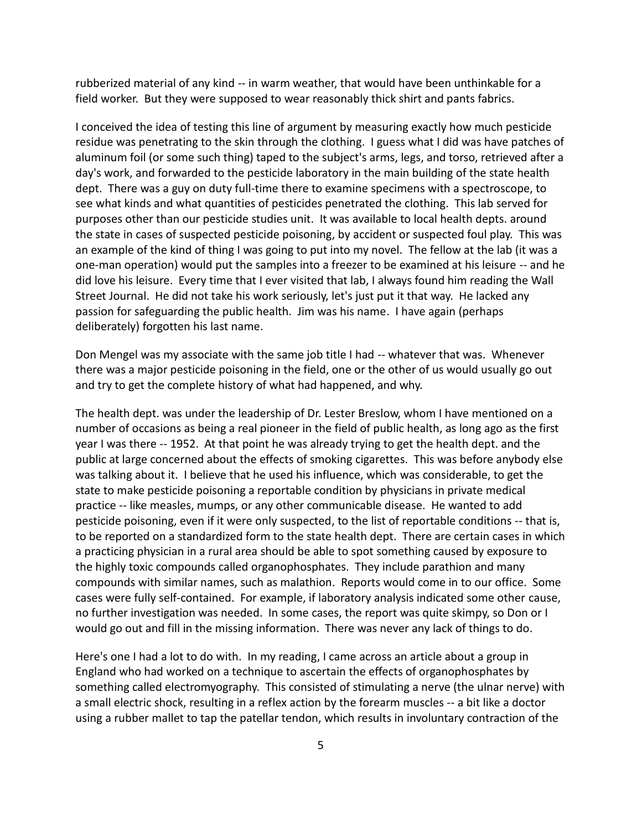rubberized material of any kind -- in warm weather, that would have been unthinkable for a field worker. But they were supposed to wear reasonably thick shirt and pants fabrics.

I conceived the idea of testing this line of argument by measuring exactly how much pesticide residue was penetrating to the skin through the clothing. I guess what I did was have patches of aluminum foil (or some such thing) taped to the subject's arms, legs, and torso, retrieved after a day's work, and forwarded to the pesticide laboratory in the main building of the state health dept. There was a guy on duty full-time there to examine specimens with a spectroscope, to see what kinds and what quantities of pesticides penetrated the clothing. This lab served for purposes other than our pesticide studies unit. It was available to local health depts. around the state in cases of suspected pesticide poisoning, by accident or suspected foul play. This was an example of the kind of thing I was going to put into my novel. The fellow at the lab (it was a one-man operation) would put the samples into a freezer to be examined at his leisure -- and he did love his leisure. Every time that I ever visited that lab, I always found him reading the Wall Street Journal. He did not take his work seriously, let's just put it that way. He lacked any passion for safeguarding the public health. Jim was his name. I have again (perhaps deliberately) forgotten his last name.

Don Mengel was my associate with the same job title I had -- whatever that was. Whenever there was a major pesticide poisoning in the field, one or the other of us would usually go out and try to get the complete history of what had happened, and why.

The health dept. was under the leadership of Dr. Lester Breslow, whom I have mentioned on a number of occasions as being a real pioneer in the field of public health, as long ago as the first year I was there -- 1952. At that point he was already trying to get the health dept. and the public at large concerned about the effects of smoking cigarettes. This was before anybody else was talking about it. I believe that he used his influence, which was considerable, to get the state to make pesticide poisoning a reportable condition by physicians in private medical practice -- like measles, mumps, or any other communicable disease. He wanted to add pesticide poisoning, even if it were only suspected, to the list of reportable conditions -- that is, to be reported on a standardized form to the state health dept. There are certain cases in which a practicing physician in a rural area should be able to spot something caused by exposure to the highly toxic compounds called organophosphates. They include parathion and many compounds with similar names, such as malathion. Reports would come in to our office. Some cases were fully self-contained. For example, if laboratory analysis indicated some other cause, no further investigation was needed. In some cases, the report was quite skimpy, so Don or I would go out and fill in the missing information. There was never any lack of things to do.

Here's one I had a lot to do with. In my reading, I came across an article about a group in England who had worked on a technique to ascertain the effects of organophosphates by something called electromyography. This consisted of stimulating a nerve (the ulnar nerve) with a small electric shock, resulting in a reflex action by the forearm muscles -- a bit like a doctor using a rubber mallet to tap the patellar tendon, which results in involuntary contraction of the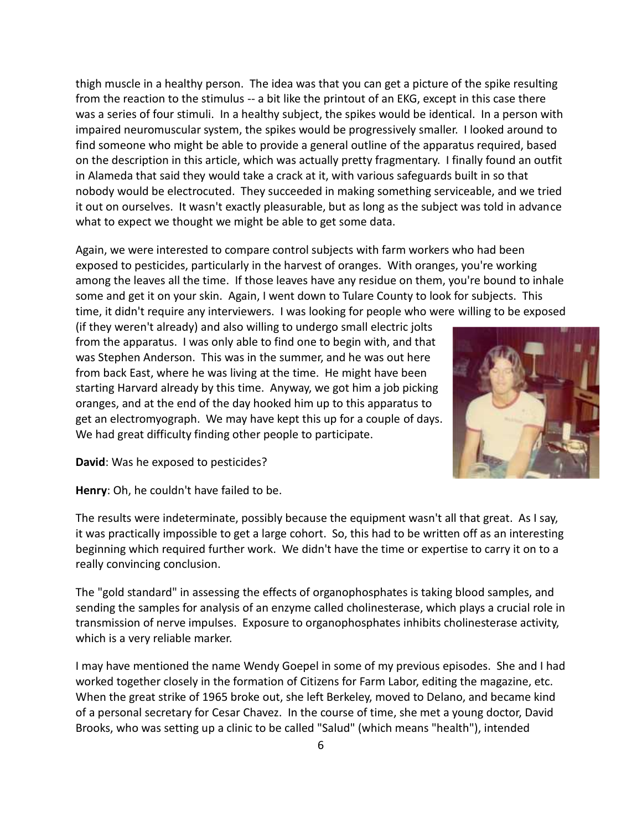thigh muscle in a healthy person. The idea was that you can get a picture of the spike resulting from the reaction to the stimulus -- a bit like the printout of an EKG, except in this case there was a series of four stimuli. In a healthy subject, the spikes would be identical. In a person with impaired neuromuscular system, the spikes would be progressively smaller. I looked around to find someone who might be able to provide a general outline of the apparatus required, based on the description in this article, which was actually pretty fragmentary. I finally found an outfit in Alameda that said they would take a crack at it, with various safeguards built in so that nobody would be electrocuted. They succeeded in making something serviceable, and we tried it out on ourselves. It wasn't exactly pleasurable, but as long as the subject was told in advance what to expect we thought we might be able to get some data.

Again, we were interested to compare control subjects with farm workers who had been exposed to pesticides, particularly in the harvest of oranges. With oranges, you're working among the leaves all the time. If those leaves have any residue on them, you're bound to inhale some and get it on your skin. Again, I went down to Tulare County to look for subjects. This time, it didn't require any interviewers. I was looking for people who were willing to be exposed

(if they weren't already) and also willing to undergo small electric jolts from the apparatus. I was only able to find one to begin with, and that was Stephen Anderson. This was in the summer, and he was out here from back East, where he was living at the time. He might have been starting Harvard already by this time. Anyway, we got him a job picking oranges, and at the end of the day hooked him up to this apparatus to get an electromyograph. We may have kept this up for a couple of days. We had great difficulty finding other people to participate.



**David**: Was he exposed to pesticides?

**Henry**: Oh, he couldn't have failed to be.

The results were indeterminate, possibly because the equipment wasn't all that great. As I say, it was practically impossible to get a large cohort. So, this had to be written off as an interesting beginning which required further work. We didn't have the time or expertise to carry it on to a really convincing conclusion.

The "gold standard" in assessing the effects of organophosphates is taking blood samples, and sending the samples for analysis of an enzyme called cholinesterase, which plays a crucial role in transmission of nerve impulses. Exposure to organophosphates inhibits cholinesterase activity, which is a very reliable marker.

I may have mentioned the name Wendy Goepel in some of my previous episodes. She and I had worked together closely in the formation of Citizens for Farm Labor, editing the magazine, etc. When the great strike of 1965 broke out, she left Berkeley, moved to Delano, and became kind of a personal secretary for Cesar Chavez. In the course of time, she met a young doctor, David Brooks, who was setting up a clinic to be called "Salud" (which means "health"), intended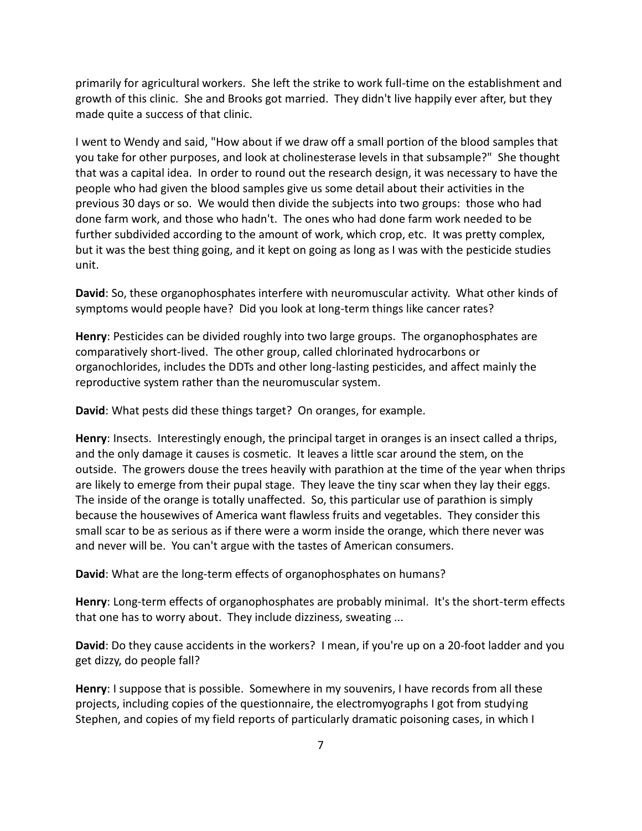primarily for agricultural workers. She left the strike to work full-time on the establishment and growth of this clinic. She and Brooks got married. They didn't live happily ever after, but they made quite a success of that clinic.

I went to Wendy and said, "How about if we draw off a small portion of the blood samples that you take for other purposes, and look at cholinesterase levels in that subsample?" She thought that was a capital idea. In order to round out the research design, it was necessary to have the people who had given the blood samples give us some detail about their activities in the previous 30 days or so. We would then divide the subjects into two groups: those who had done farm work, and those who hadn't. The ones who had done farm work needed to be further subdivided according to the amount of work, which crop, etc. It was pretty complex, but it was the best thing going, and it kept on going as long as I was with the pesticide studies unit.

**David**: So, these organophosphates interfere with neuromuscular activity. What other kinds of symptoms would people have? Did you look at long-term things like cancer rates?

**Henry**: Pesticides can be divided roughly into two large groups. The organophosphates are comparatively short-lived. The other group, called chlorinated hydrocarbons or organochlorides, includes the DDTs and other long-lasting pesticides, and affect mainly the reproductive system rather than the neuromuscular system.

**David**: What pests did these things target? On oranges, for example.

**Henry**: Insects. Interestingly enough, the principal target in oranges is an insect called a thrips, and the only damage it causes is cosmetic. It leaves a little scar around the stem, on the outside. The growers douse the trees heavily with parathion at the time of the year when thrips are likely to emerge from their pupal stage. They leave the tiny scar when they lay their eggs. The inside of the orange is totally unaffected. So, this particular use of parathion is simply because the housewives of America want flawless fruits and vegetables. They consider this small scar to be as serious as if there were a worm inside the orange, which there never was and never will be. You can't argue with the tastes of American consumers.

**David**: What are the long-term effects of organophosphates on humans?

**Henry**: Long-term effects of organophosphates are probably minimal. It's the short-term effects that one has to worry about. They include dizziness, sweating ...

**David**: Do they cause accidents in the workers? I mean, if you're up on a 20-foot ladder and you get dizzy, do people fall?

**Henry**: I suppose that is possible. Somewhere in my souvenirs, I have records from all these projects, including copies of the questionnaire, the electromyographs I got from studying Stephen, and copies of my field reports of particularly dramatic poisoning cases, in which I